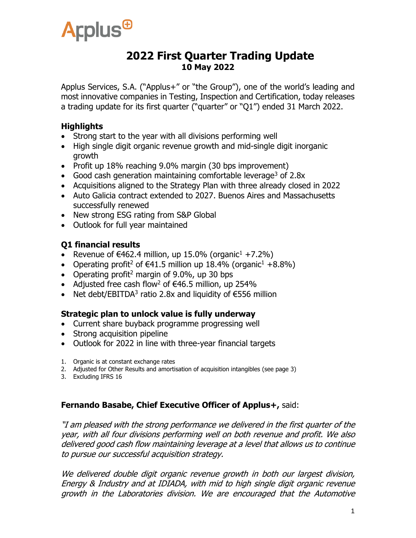

# **2022 First Quarter Trading Update 10 May 2022**

Applus Services, S.A. ("Applus+" or "the Group"), one of the world's leading and most innovative companies in Testing, Inspection and Certification, today releases a trading update for its first quarter ("quarter" or "Q1") ended 31 March 2022.

## **Highlights**

- Strong start to the year with all divisions performing well
- High single digit organic revenue growth and mid-single digit inorganic growth
- Profit up 18% reaching 9.0% margin (30 bps improvement)
- Good cash generation maintaining comfortable leverage<sup>3</sup> of 2.8x
- Acquisitions aligned to the Strategy Plan with three already closed in 2022
- Auto Galicia contract extended to 2027. Buenos Aires and Massachusetts successfully renewed
- New strong ESG rating from S&P Global
- Outlook for full year maintained

# **Q1 financial results**

- Revenue of  $\epsilon$ 462.4 million, up 15.0% (organic<sup>1</sup> +7.2%)
- Operating profit<sup>2</sup> of  $\epsilon$ 41.5 million up 18.4% (organic<sup>1</sup> +8.8%)
- Operating profit<sup>2</sup> margin of 9.0%, up 30 bps
- Adjusted free cash flow<sup>2</sup> of  $\epsilon$ 46.5 million, up 254%
- Net debt/EBITDA<sup>3</sup> ratio 2.8x and liquidity of  $\epsilon$ 556 million

# **Strategic plan to unlock value is fully underway**

- Current share buyback programme progressing well
- Strong acquisition pipeline
- Outlook for 2022 in line with three-year financial targets
- 1. Organic is at constant exchange rates
- 2. Adjusted for Other Results and amortisation of acquisition intangibles (see page 3)
- 3. Excluding IFRS 16

# **Fernando Basabe, Chief Executive Officer of Applus+,** said:

"I am pleased with the strong performance we delivered in the first quarter of the year, with all four divisions performing well on both revenue and profit. We also delivered good cash flow maintaining leverage at a level that allows us to continue to pursue our successful acquisition strategy.

We delivered double digit organic revenue growth in both our largest division, Energy & Industry and at IDIADA, with mid to high single digit organic revenue growth in the Laboratories division. We are encouraged that the Automotive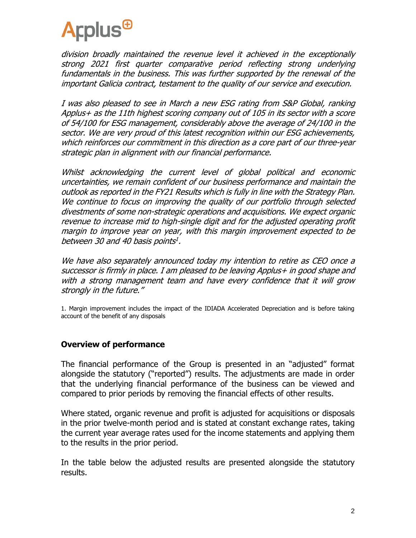

division broadly maintained the revenue level it achieved in the exceptionally strong 2021 first quarter comparative period reflecting strong underlying fundamentals in the business. This was further supported by the renewal of the important Galicia contract, testament to the quality of our service and execution.

I was also pleased to see in March a new ESG rating from S&P Global, ranking Applus+ as the 11th highest scoring company out of 105 in its sector with a score of 54/100 for ESG management, considerably above the average of 24/100 in the sector. We are very proud of this latest recognition within our ESG achievements, which reinforces our commitment in this direction as a core part of our three-year strategic plan in alignment with our financial performance.

Whilst acknowledging the current level of global political and economic uncertainties, we remain confident of our business performance and maintain the outlook as reported in the FY21 Results which is fully in line with the Strategy Plan. We continue to focus on improving the quality of our portfolio through selected divestments of some non-strategic operations and acquisitions. We expect organic revenue to increase mid to high-single digit and for the adjusted operating profit margin to improve year on year, with this margin improvement expected to be between 30 and 40 basis points<sup>1</sup>.

We have also separately announced today my intention to retire as CEO once a successor is firmly in place. I am pleased to be leaving Applus+ in good shape and with a strong management team and have every confidence that it will grow strongly in the future."

1. Margin improvement includes the impact of the IDIADA Accelerated Depreciation and is before taking account of the benefit of any disposals

#### **Overview of performance**

The financial performance of the Group is presented in an "adjusted" format alongside the statutory ("reported") results. The adjustments are made in order that the underlying financial performance of the business can be viewed and compared to prior periods by removing the financial effects of other results.

Where stated, organic revenue and profit is adjusted for acquisitions or disposals in the prior twelve-month period and is stated at constant exchange rates, taking the current year average rates used for the income statements and applying them to the results in the prior period.

In the table below the adjusted results are presented alongside the statutory results.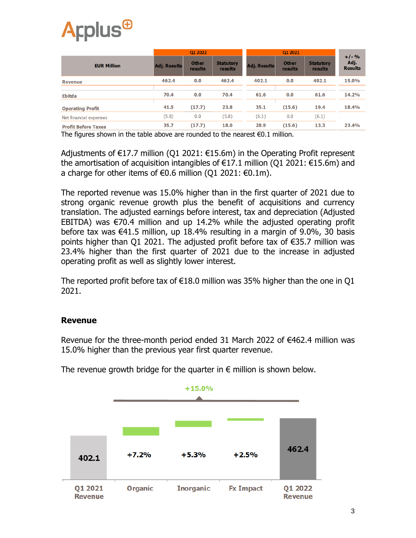

|                            |                     | Q1 2022                 | Q1 2021                            |                     |                         |                                    |                                   |
|----------------------------|---------------------|-------------------------|------------------------------------|---------------------|-------------------------|------------------------------------|-----------------------------------|
| <b>EUR Million</b>         | <b>Adj. Results</b> | <b>Other</b><br>results | <b>Statutory</b><br><b>results</b> | <b>Adj. Results</b> | <b>Other</b><br>results | <b>Statutory</b><br><b>results</b> | $+/-$ %<br>Adj.<br><b>Results</b> |
| <b>Revenue</b>             | 462.4               | 0.0                     | 462.4                              | 402.1               | 0.0                     | 402.1                              | 15.0%                             |
| <b>Ebitda</b>              | 70.4                | 0.0                     | 70.4                               | 61.6                | 0.0                     | 61.6                               | 14.2%                             |
| <b>Operating Profit</b>    | 41.5                | (17.7)                  | 23.8                               | 35.1                | (15.6)                  | 19.4                               | 18.4%                             |
| Net financial expenses     | (5.8)               | 0,0                     | (5.8)                              | (6.1)               | 0,0                     | (6.1)                              |                                   |
| <b>Profit Before Taxes</b> | 35.7                | (17.7)                  | 18.0                               | 28.9                | (15.6)                  | 13.3                               | 23.4%                             |

The figures shown in the table above are rounded to the nearest  $\epsilon$ 0.1 million.

Adjustments of €17.7 million (Q1 2021: €15.6m) in the Operating Profit represent the amortisation of acquisition intangibles of  $E17.1$  million (Q1 2021:  $E15.6$ m) and a charge for other items of €0.6 million (Q1 2021:  $€0.1m$ ).

The reported revenue was 15.0% higher than in the first quarter of 2021 due to strong organic revenue growth plus the benefit of acquisitions and currency translation. The adjusted earnings before interest, tax and depreciation (Adjusted EBITDA) was  $\epsilon$ 70.4 million and up 14.2% while the adjusted operating profit before tax was €41.5 million, up 18.4% resulting in a margin of 9.0%, 30 basis points higher than Q1 2021. The adjusted profit before tax of €35.7 million was 23.4% higher than the first quarter of 2021 due to the increase in adjusted operating profit as well as slightly lower interest.

The reported profit before tax of  $E18.0$  million was 35% higher than the one in Q1 2021.

#### **Revenue**

Revenue for the three-month period ended 31 March 2022 of €462.4 million was 15.0% higher than the previous year first quarter revenue.



The revenue growth bridge for the quarter in  $\epsilon$  million is shown below.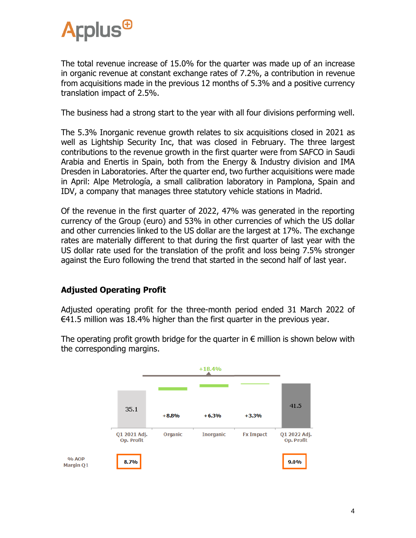

The total revenue increase of 15.0% for the quarter was made up of an increase in organic revenue at constant exchange rates of 7.2%, a contribution in revenue from acquisitions made in the previous 12 months of 5.3% and a positive currency translation impact of 2.5%.

The business had a strong start to the year with all four divisions performing well.

The 5.3% Inorganic revenue growth relates to six acquisitions closed in 2021 as well as Lightship Security Inc, that was closed in February. The three largest contributions to the revenue growth in the first quarter were from SAFCO in Saudi Arabia and Enertis in Spain, both from the Energy & Industry division and IMA Dresden in Laboratories. After the quarter end, two further acquisitions were made in April: Alpe Metrología, a small calibration laboratory in Pamplona, Spain and IDV, a company that manages three statutory vehicle stations in Madrid.

Of the revenue in the first quarter of 2022, 47% was generated in the reporting currency of the Group (euro) and 53% in other currencies of which the US dollar and other currencies linked to the US dollar are the largest at 17%. The exchange rates are materially different to that during the first quarter of last year with the US dollar rate used for the translation of the profit and loss being 7.5% stronger against the Euro following the trend that started in the second half of last year.

#### **Adjusted Operating Profit**

Adjusted operating profit for the three-month period ended 31 March 2022 of  $€41.5$  million was 18.4% higher than the first quarter in the previous year.



The operating profit growth bridge for the quarter in  $\epsilon$  million is shown below with the corresponding margins.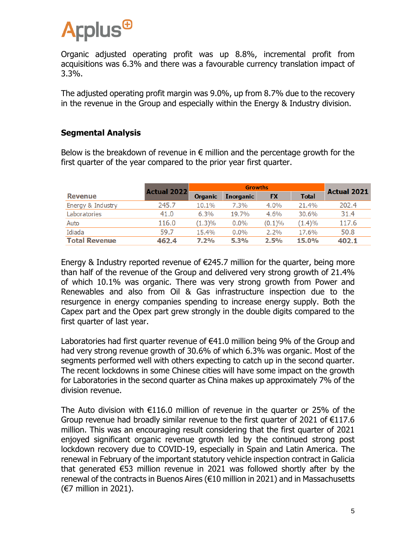

Organic adjusted operating profit was up 8.8%, incremental profit from acquisitions was 6.3% and there was a favourable currency translation impact of 3.3%.

The adjusted operating profit margin was 9.0%, up from 8.7% due to the recovery in the revenue in the Group and especially within the Energy & Industry division.

#### **Segmental Analysis**

Below is the breakdown of revenue in  $\epsilon$  million and the percentage growth for the first quarter of the year compared to the prior year first quarter.

|                      | <b>Actual 2022</b> |                | <b>Actual 2021</b> |           |              |       |
|----------------------|--------------------|----------------|--------------------|-----------|--------------|-------|
| <b>Revenue</b>       |                    | <b>Organic</b> | <b>Inorganic</b>   | <b>FX</b> | <b>Total</b> |       |
| Energy & Industry    | 245.7              | 10.1%          | 7.3%               | $4.0\%$   | 21.4%        | 202.4 |
| Laboratories         | 41.0               | $6.3\%$        | 19.7%              | $4.6\%$   | 30.6%        | 31.4  |
| Auto                 | 116.0              | $(1.3)\%$      | $0.0\%$            | (0.1)%    | (1.4)%       | 117.6 |
| Idiada               | 59.7               | 15.4%          | $0.0\%$            | $2.2\%$   | 17.6%        | 50.8  |
| <b>Total Revenue</b> | 462.4              | 7.2%           | 5.3%               | 2.5%      | 15.0%        | 402.1 |

Energy & Industry reported revenue of  $E$ 245.7 million for the quarter, being more than half of the revenue of the Group and delivered very strong growth of 21.4% of which 10.1% was organic. There was very strong growth from Power and Renewables and also from Oil & Gas infrastructure inspection due to the resurgence in energy companies spending to increase energy supply. Both the Capex part and the Opex part grew strongly in the double digits compared to the first quarter of last year.

Laboratories had first quarter revenue of €41.0 million being 9% of the Group and had very strong revenue growth of 30.6% of which 6.3% was organic. Most of the segments performed well with others expecting to catch up in the second quarter. The recent lockdowns in some Chinese cities will have some impact on the growth for Laboratories in the second quarter as China makes up approximately 7% of the division revenue.

The Auto division with  $E116.0$  million of revenue in the quarter or 25% of the Group revenue had broadly similar revenue to the first quarter of 2021 of  $E$ 117.6 million. This was an encouraging result considering that the first quarter of 2021 enjoyed significant organic revenue growth led by the continued strong post lockdown recovery due to COVID-19, especially in Spain and Latin America. The renewal in February of the important statutory vehicle inspection contract in Galicia that generated €53 million revenue in 2021 was followed shortly after by the renewal of the contracts in Buenos Aires (€10 million in 2021) and in Massachusetts (€7 million in 2021).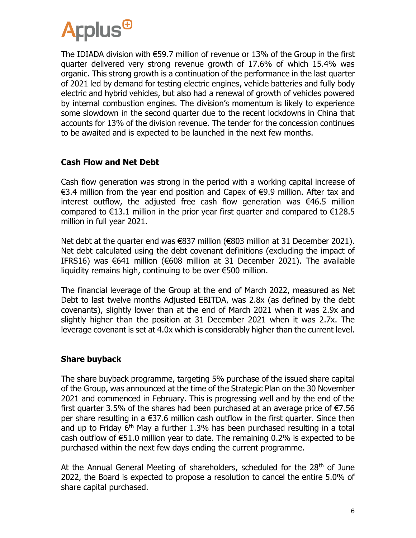

The IDIADA division with €59.7 million of revenue or 13% of the Group in the first quarter delivered very strong revenue growth of 17.6% of which 15.4% was organic. This strong growth is a continuation of the performance in the last quarter of 2021 led by demand for testing electric engines, vehicle batteries and fully body electric and hybrid vehicles, but also had a renewal of growth of vehicles powered by internal combustion engines. The division's momentum is likely to experience some slowdown in the second quarter due to the recent lockdowns in China that accounts for 13% of the division revenue. The tender for the concession continues to be awaited and is expected to be launched in the next few months.

## **Cash Flow and Net Debt**

Cash flow generation was strong in the period with a working capital increase of €3.4 million from the year end position and Capex of €9.9 million. After tax and interest outflow, the adjusted free cash flow generation was  $\epsilon$ 46.5 million compared to  $\epsilon$ 13.1 million in the prior year first quarter and compared to  $\epsilon$ 128.5 million in full year 2021.

Net debt at the quarter end was €837 million (€803 million at 31 December 2021). Net debt calculated using the debt covenant definitions (excluding the impact of IFRS16) was €641 million (€608 million at 31 December 2021). The available liquidity remains high, continuing to be over €500 million.

The financial leverage of the Group at the end of March 2022, measured as Net Debt to last twelve months Adjusted EBITDA, was 2.8x (as defined by the debt covenants), slightly lower than at the end of March 2021 when it was 2.9x and slightly higher than the position at 31 December 2021 when it was 2.7x. The leverage covenant is set at 4.0x which is considerably higher than the current level.

#### **Share buyback**

The share buyback programme, targeting 5% purchase of the issued share capital of the Group, was announced at the time of the Strategic Plan on the 30 November 2021 and commenced in February. This is progressing well and by the end of the first quarter 3.5% of the shares had been purchased at an average price of  $\epsilon$ 7.56 per share resulting in a €37.6 million cash outflow in the first quarter. Since then and up to Friday 6<sup>th</sup> May a further 1.3% has been purchased resulting in a total cash outflow of  $\epsilon$ 51.0 million year to date. The remaining 0.2% is expected to be purchased within the next few days ending the current programme.

At the Annual General Meeting of shareholders, scheduled for the  $28<sup>th</sup>$  of June 2022, the Board is expected to propose a resolution to cancel the entire 5.0% of share capital purchased.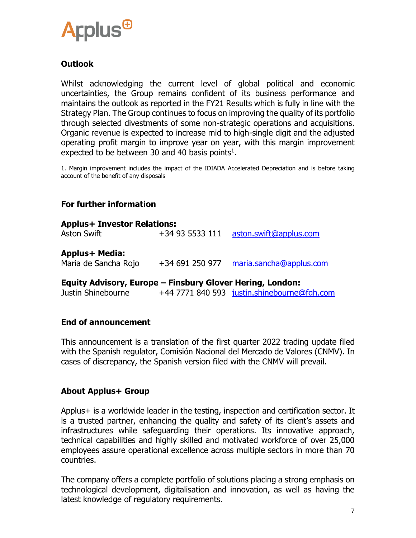

## **Outlook**

Whilst acknowledging the current level of global political and economic uncertainties, the Group remains confident of its business performance and maintains the outlook as reported in the FY21 Results which is fully in line with the Strategy Plan. The Group continues to focus on improving the quality of its portfolio through selected divestments of some non-strategic operations and acquisitions. Organic revenue is expected to increase mid to high-single digit and the adjusted operating profit margin to improve year on year, with this margin improvement expected to be between 30 and 40 basis points<sup>1</sup>.

1. Margin improvement includes the impact of the IDIADA Accelerated Depreciation and is before taking account of the benefit of any disposals

#### **For further information**

| <b>Applus+ Investor Relations:</b>                      |                 |                         |  |  |  |  |  |
|---------------------------------------------------------|-----------------|-------------------------|--|--|--|--|--|
| <b>Aston Swift</b>                                      | +34 93 5533 111 | aston.swift@applus.com  |  |  |  |  |  |
|                                                         |                 |                         |  |  |  |  |  |
| <b>Applus+ Media:</b>                                   |                 |                         |  |  |  |  |  |
| Maria de Sancha Rojo                                    | +34 691 250 977 | maria.sancha@applus.com |  |  |  |  |  |
|                                                         |                 |                         |  |  |  |  |  |
| Eauity Advisery, Eurene Einskung Clever Hering, Lenden: |                 |                         |  |  |  |  |  |

**Equity Advisory, Europe – Finsbury Glover Hering, London:** Justin Shinebourne +44 7771 840 593 justin.shinebourne@fah.com

#### **End of announcement**

This announcement is a translation of the first quarter 2022 trading update filed with the Spanish regulator, Comisión Nacional del Mercado de Valores (CNMV). In cases of discrepancy, the Spanish version filed with the CNMV will prevail.

#### **About Applus+ Group**

Applus+ is a worldwide leader in the testing, inspection and certification sector. It is a trusted partner, enhancing the quality and safety of its client's assets and infrastructures while safeguarding their operations. Its innovative approach, technical capabilities and highly skilled and motivated workforce of over 25,000 employees assure operational excellence across multiple sectors in more than 70 countries.

The company offers a complete portfolio of solutions placing a strong emphasis on technological development, digitalisation and innovation, as well as having the latest knowledge of regulatory requirements.